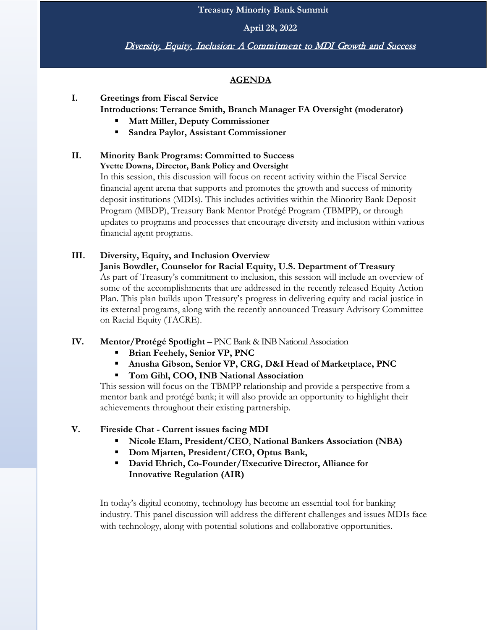**Treasury Minority Bank Summit**

**April 28, 2022**

Diversity, Equity, Inclusion: A Commitment to MDI Growth and Success

### **AGENDA**

**I. Greetings from Fiscal Service Introductions: Terrance Smith, Branch Manager FA Oversight (moderator)**

- **Matt Miller, Deputy Commissioner**
- **Sandra Paylor, Assistant Commissioner**

#### **II. Minority Bank Programs: Committed to Success Yvette Downs, Director, Bank Policy and Oversight**

In this session, this discussion will focus on recent activity within the Fiscal Service financial agent arena that supports and promotes the growth and success of minority deposit institutions (MDIs). This includes activities within the Minority Bank Deposit Program (MBDP), Treasury Bank Mentor Protégé Program (TBMPP), or through updates to programs and processes that encourage diversity and inclusion within various financial agent programs.

# **III. Diversity, Equity, and Inclusion Overview**

### **Janis Bowdler, Counselor for Racial Equity, U.S. Department of Treasury** As part of Treasury's commitment to inclusion, this session will include an overview of some of the accomplishments that are addressed in the recently released Equity Action Plan. This plan builds upon Treasury's progress in delivering equity and racial justice in its external programs, along with the recently announced Treasury Advisory Committee

on Racial Equity (TACRE).

### **IV. Mentor/Protégé Spotlight** – PNC Bank & INB National Association

- **Brian Feehely, Senior VP, PNC**
- **Anusha Gibson, Senior VP, CRG, D&I Head of Marketplace, PNC**
- **Tom Gihl, COO, INB National Association**

This session will focus on the TBMPP relationship and provide a perspective from a mentor bank and protégé bank; it will also provide an opportunity to highlight their achievements throughout their existing partnership.

## **V. Fireside Chat - Current issues facing MDI**

- **Nicole Elam, President/CEO**, **National Bankers Association (NBA)**
- **Dom Mjarten, President/CEO, Optus Bank,**
- **David Ehrich, Co-Founder/Executive Director, Alliance for Innovative Regulation (AIR)**

In today's digital economy, technology has become an essential tool for banking industry. This panel discussion will address the different challenges and issues MDIs face with technology, along with potential solutions and collaborative opportunities.